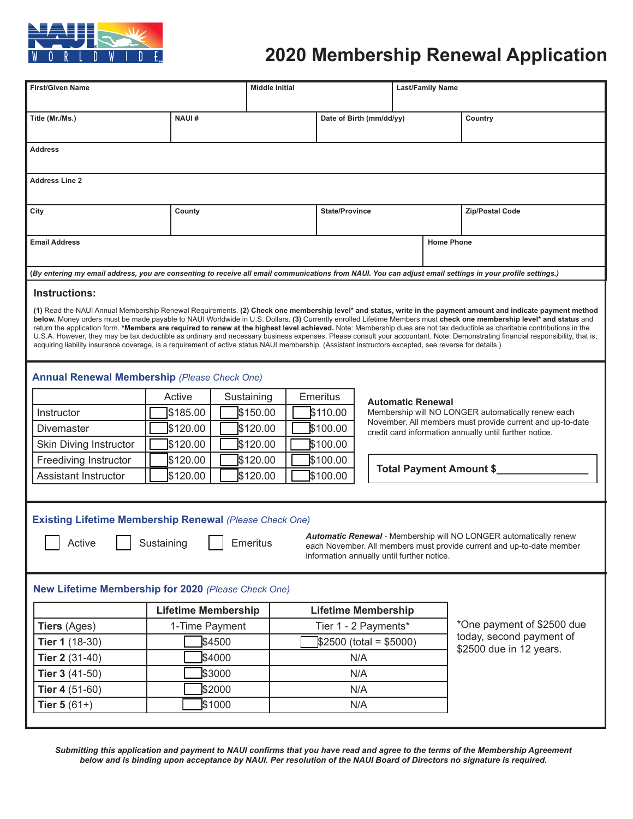

# **2020 Membership Renewal Application**

| <b>First/Given Name</b>                                                                                                                                                                                                                                                                                                                                                                                                                                                                                                                                                                                                                                                                                                                                                                                                                                       | <b>Middle Initial</b>                                        |          | <b>Last/Family Name</b>    |                                                                                                                     |                                                     |  |  |  |  |  |  |
|---------------------------------------------------------------------------------------------------------------------------------------------------------------------------------------------------------------------------------------------------------------------------------------------------------------------------------------------------------------------------------------------------------------------------------------------------------------------------------------------------------------------------------------------------------------------------------------------------------------------------------------------------------------------------------------------------------------------------------------------------------------------------------------------------------------------------------------------------------------|--------------------------------------------------------------|----------|----------------------------|---------------------------------------------------------------------------------------------------------------------|-----------------------------------------------------|--|--|--|--|--|--|
| Title (Mr./Ms.)                                                                                                                                                                                                                                                                                                                                                                                                                                                                                                                                                                                                                                                                                                                                                                                                                                               | <b>NAUI#</b>                                                 |          | Date of Birth (mm/dd/yy)   |                                                                                                                     | Country                                             |  |  |  |  |  |  |
|                                                                                                                                                                                                                                                                                                                                                                                                                                                                                                                                                                                                                                                                                                                                                                                                                                                               |                                                              |          |                            |                                                                                                                     |                                                     |  |  |  |  |  |  |
| <b>Address</b>                                                                                                                                                                                                                                                                                                                                                                                                                                                                                                                                                                                                                                                                                                                                                                                                                                                |                                                              |          |                            |                                                                                                                     |                                                     |  |  |  |  |  |  |
| <b>Address Line 2</b>                                                                                                                                                                                                                                                                                                                                                                                                                                                                                                                                                                                                                                                                                                                                                                                                                                         |                                                              |          |                            |                                                                                                                     |                                                     |  |  |  |  |  |  |
| City                                                                                                                                                                                                                                                                                                                                                                                                                                                                                                                                                                                                                                                                                                                                                                                                                                                          | County                                                       |          | <b>State/Province</b>      |                                                                                                                     | Zip/Postal Code                                     |  |  |  |  |  |  |
| Email Address                                                                                                                                                                                                                                                                                                                                                                                                                                                                                                                                                                                                                                                                                                                                                                                                                                                 |                                                              |          | <b>Home Phone</b>          |                                                                                                                     |                                                     |  |  |  |  |  |  |
| (By entering my email address, you are consenting to receive all email communications from NAUI. You can adjust email settings in your profile settings.)                                                                                                                                                                                                                                                                                                                                                                                                                                                                                                                                                                                                                                                                                                     |                                                              |          |                            |                                                                                                                     |                                                     |  |  |  |  |  |  |
| Instructions:                                                                                                                                                                                                                                                                                                                                                                                                                                                                                                                                                                                                                                                                                                                                                                                                                                                 |                                                              |          |                            |                                                                                                                     |                                                     |  |  |  |  |  |  |
| (1) Read the NAUI Annual Membership Renewal Requirements. (2) Check one membership level* and status, write in the payment amount and indicate payment method<br>below. Money orders must be made payable to NAUI Worldwide in U.S. Dollars. (3) Currently enrolled Lifetime Members must check one membership level* and status and<br>return the application form. *Members are required to renew at the highest level achieved. Note: Membership dues are not tax deductible as charitable contributions in the<br>U.S.A. However, they may be tax deductible as ordinary and necessary business expenses. Please consult your accountant. Note: Demonstrating financial responsibility, that is,<br>acquiring liability insurance coverage, is a requirement of active status NAUI membership. (Assistant instructors excepted, see reverse for details.) |                                                              |          |                            |                                                                                                                     |                                                     |  |  |  |  |  |  |
| <b>Annual Renewal Membership (Please Check One)</b>                                                                                                                                                                                                                                                                                                                                                                                                                                                                                                                                                                                                                                                                                                                                                                                                           |                                                              |          |                            |                                                                                                                     |                                                     |  |  |  |  |  |  |
|                                                                                                                                                                                                                                                                                                                                                                                                                                                                                                                                                                                                                                                                                                                                                                                                                                                               | Sustaining<br>Emeritus<br>Active<br><b>Automatic Renewal</b> |          |                            |                                                                                                                     |                                                     |  |  |  |  |  |  |
| Instructor                                                                                                                                                                                                                                                                                                                                                                                                                                                                                                                                                                                                                                                                                                                                                                                                                                                    | \$185.00                                                     | \$150.00 | \$110.00                   |                                                                                                                     | Membership will NO LONGER automatically renew each  |  |  |  |  |  |  |
| Divemaster                                                                                                                                                                                                                                                                                                                                                                                                                                                                                                                                                                                                                                                                                                                                                                                                                                                    | \$120.00                                                     | \$120.00 | \$100.00                   | November. All members must provide current and up-to-date<br>credit card information annually until further notice. |                                                     |  |  |  |  |  |  |
| <b>Skin Diving Instructor</b>                                                                                                                                                                                                                                                                                                                                                                                                                                                                                                                                                                                                                                                                                                                                                                                                                                 | \$120.00                                                     | \$120.00 | \$100.00                   |                                                                                                                     |                                                     |  |  |  |  |  |  |
| \$120.00<br>\$120.00<br>Freediving Instructor                                                                                                                                                                                                                                                                                                                                                                                                                                                                                                                                                                                                                                                                                                                                                                                                                 |                                                              |          | \$100.00                   | <b>Total Payment Amount \$_</b>                                                                                     |                                                     |  |  |  |  |  |  |
| \$120.00<br>Assistant Instructor                                                                                                                                                                                                                                                                                                                                                                                                                                                                                                                                                                                                                                                                                                                                                                                                                              | \$120.00                                                     | \$100.00 |                            |                                                                                                                     |                                                     |  |  |  |  |  |  |
|                                                                                                                                                                                                                                                                                                                                                                                                                                                                                                                                                                                                                                                                                                                                                                                                                                                               |                                                              |          |                            |                                                                                                                     |                                                     |  |  |  |  |  |  |
| <b>Existing Lifetime Membership Renewal (Please Check One)</b><br><b>Automatic Renewal - Membership will NO LONGER automatically renew</b><br>Sustaining<br>Active<br>Emeritus<br>each November. All members must provide current and up-to-date member<br>information annually until further notice.                                                                                                                                                                                                                                                                                                                                                                                                                                                                                                                                                         |                                                              |          |                            |                                                                                                                     |                                                     |  |  |  |  |  |  |
| New Lifetime Membership for 2020 (Please Check One)                                                                                                                                                                                                                                                                                                                                                                                                                                                                                                                                                                                                                                                                                                                                                                                                           |                                                              |          |                            |                                                                                                                     |                                                     |  |  |  |  |  |  |
|                                                                                                                                                                                                                                                                                                                                                                                                                                                                                                                                                                                                                                                                                                                                                                                                                                                               | <b>Lifetime Membership</b>                                   |          | <b>Lifetime Membership</b> |                                                                                                                     |                                                     |  |  |  |  |  |  |
| Tiers (Ages)                                                                                                                                                                                                                                                                                                                                                                                                                                                                                                                                                                                                                                                                                                                                                                                                                                                  | 1-Time Payment                                               |          | Tier 1 - 2 Payments*       |                                                                                                                     | *One payment of \$2500 due                          |  |  |  |  |  |  |
| Tier 1 (18-30)                                                                                                                                                                                                                                                                                                                                                                                                                                                                                                                                                                                                                                                                                                                                                                                                                                                | \$4500                                                       |          | $$2500$ (total = \$5000)   |                                                                                                                     | today, second payment of<br>\$2500 due in 12 years. |  |  |  |  |  |  |
| Tier 2 (31-40)                                                                                                                                                                                                                                                                                                                                                                                                                                                                                                                                                                                                                                                                                                                                                                                                                                                | \$4000                                                       |          | N/A                        |                                                                                                                     |                                                     |  |  |  |  |  |  |
| Tier 3 (41-50)                                                                                                                                                                                                                                                                                                                                                                                                                                                                                                                                                                                                                                                                                                                                                                                                                                                | \$3000                                                       |          | N/A                        |                                                                                                                     |                                                     |  |  |  |  |  |  |
| Tier 4 (51-60)                                                                                                                                                                                                                                                                                                                                                                                                                                                                                                                                                                                                                                                                                                                                                                                                                                                | \$2000                                                       |          | N/A                        |                                                                                                                     |                                                     |  |  |  |  |  |  |
| Tier $5(61+)$                                                                                                                                                                                                                                                                                                                                                                                                                                                                                                                                                                                                                                                                                                                                                                                                                                                 | \$1000                                                       |          | N/A                        |                                                                                                                     |                                                     |  |  |  |  |  |  |
|                                                                                                                                                                                                                                                                                                                                                                                                                                                                                                                                                                                                                                                                                                                                                                                                                                                               |                                                              |          |                            |                                                                                                                     |                                                     |  |  |  |  |  |  |

*Submitting this application and payment to NAUI confirms that you have read and agree to the terms of the Membership Agreement below and is binding upon acceptance by NAUI. Per resolution of the NAUI Board of Directors no signature is required.*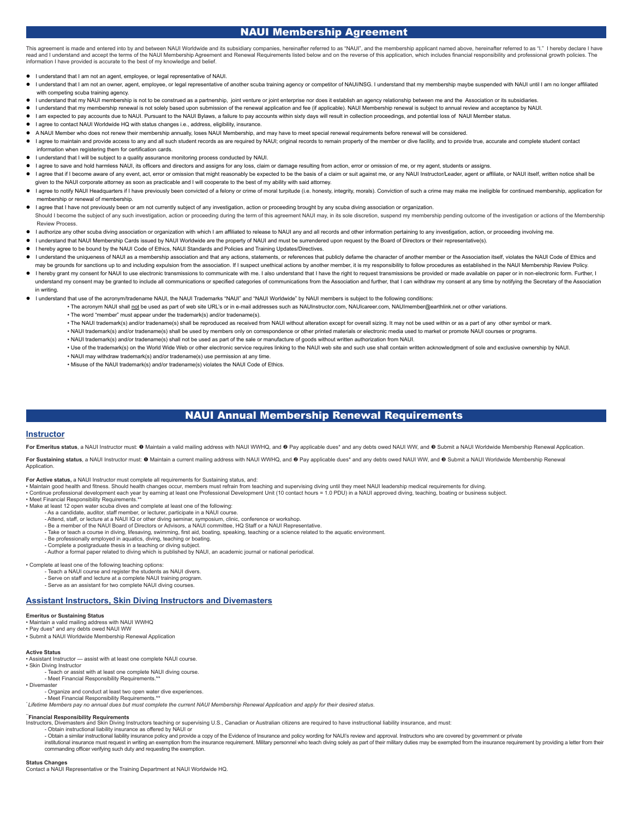# NAUI Membership Agreement

This agreement is made and entered into by and between NAUI Worldwide and its subsidiary companies, hereinafter referred to as "NAUI", and the membership applicant named above, hereinafter referred to as "I." I hereby decl read and I understand and accept the terms of the NAUI Membership Agreement and Renewal Requirements listed below and on the reverse of this application, which includes financial responsibility and professional growth poli information I have provided is accurate to the best of my knowledge and belief.

- I understand that I am not an agent, employee, or legal representative of NAUI.
- I understand that I am not an owner, agent, employee, or legal representative of another scuba training agency or competitor of NAUI/NSG. I understand that my membership maybe suspended with NAUI until I am no longer affil with competing scuba training agency
- I understand that my NAUI membership is not to be construed as a partnership, joint venture or joint enterprise nor does it establish an agency relationship between me and the Association or its subsidiaries.
- I understand that my membership renewal is not solely based upon submission of the renewal application and fee (if applicable). NAUI Membership renewal is subject to annual review and acceptance by NAUI.
- I am expected to pay accounts due to NAUI. Pursuant to the NAUI Bylaws, a failure to pay accounts within sixty days will result in collection proceedings, and potential loss of NAUI Member status.
- I agree to contact NAUI Worldwide HQ with status changes i.e., address, eligibility, insurance.
- A NAUI Member who does not renew their membership annually, loses NAUI Membership, and may have to meet special renewal requirements before renewal will be considered.
- I agree to maintain and provide access to any and all such student records as are required by NAUI; original records to remain property of the member or dive facility, and to provide true, accurate and complete student con information when registering them for certification cards.
- I understand that I will be subject to a quality assurance monitoring process conducted by NAUI.
- I agree to save and hold harmless NAUI, its officers and directors and assigns for any loss, claim or damage resulting from action, error or omission of me, or my agent, students or assigns.
- I agree that if I become aware of any event, act, error or omission that might reasonably be expected to be the basis of a claim or suit against me, or any NAUI Instructor/Leader, agent or affiliate, or NAUI itself, writte given to the NAUI corporate attorney as soon as practicable and I will cooperate to the best of my ability with said attorney.
- I agree to notify NAUI Headquarters if I have previously been convicted of a felony or crime of moral turpitude (i.e. honesty, integrity, morals). Conviction of such a crime may make me ineligible for continued membership, membership or renewal of membership.
- I agree that I have not previously been or am not currently subject of any investigation, action or proceeding brought by any scuba diving association or organization.
- Should I become the subject of any such investigation, action or proceeding during the term of this agreement NAUI may, in its sole discretion, suspend my membership pending outcome of the investigation or actions of the M Review Process.
- I authorize any other scuba diving association or organization with which I am affiliated to release to NAUI any and all records and other information pertaining to any investigation, action, or proceeding involving me.
- I understand that NAUI Membership Cards issued by NAUI Worldwide are the property of NAUI and must be surrendered upon request by the Board of Directors or their representative(s).
- I hereby agree to be bound by the NAUI Code of Ethics, NAUI Standards and Policies and Training Updates/Directives.
- I understand the uniqueness of NAUI as a membership association and that any actions, statements, or references that publicly defame the character of another member or the Association itself, violates the NAUI Code of Ethi may be grounds for sanctions up to and including expulsion from the association. If I suspect unethical actions by another member, it is my responsibility to follow procedures as established in the NAUI Membership Review P
- I hereby grant my consent for NAUI to use electronic transmissions to communicate with me. I also understand that I have the right to request transmissions be provided or made available on paper or in non-electronic form. understand my consent may be granted to include all communications or specified categories of communications from the Association and further, that I can withdraw my consent at any time by notifying the Secretary of the As in writing.
- I understand that use of the acronym/tradename NAUI, the NAUI Trademarks "NAUI" and "NAUI Worldwide" by NAUI members is subject to the following conditions:
	- The acronym NAUI shall not be used as part of web site URL's or in e-mail addresses such as NAUInstructor.com, NAUIcareer.com, NAUImember@earthlink.net or other variations
	- The word "member" must appear under the trademark(s) and/or tradename(s).
	- The NAUI trademark(s) and/or tradename(s) shall be reproduced as received from NAUI without alteration except for overall sizing. It may not be used within or as a part of any other symbol or mark.
	- NAUI trademark(s) and/or tradename(s) shall be used by members only on correspondence or other printed materials or electronic media used to market or promote NAUI courses or programs
	- NAUI trademark(s) and/or tradename(s) shall not be used as part of the sale or manufacture of goods without written authorization from NAUI.
	- Use of the trademark(s) on the World Wide Web or other electronic service requires linking to the NAUI web site and such use shall contain written acknowledgment of sole and exclusive ownership by NAUI.
	- NAUI may withdraw trademark(s) and/or tradename(s) use permission at any time.
	- Misuse of the NAUI trademark(s) and/or tradename(s) violates the NAUI Code of Ethics.

### NAUI Annual Membership Renewal Requirements

#### **Instructor**

For Emeritus status, a NAUI Instructor must: <sup>O</sup> Maintain a valid mailing address with NAUI WWHQ, and <sup>O</sup> Pay applicable dues\* and any debts owed NAUI WW, and <sup>O</sup> Submit a NAUI Worldwide Membership Renewal Application.

For Sustaining status, a NAUI Instructor must: <sup>o</sup> Maintain a current mailing address with NAUI WWHQ, and <sup>o</sup> Pay applicable dues\* and any debts owed NAUI WW, and <sup>o</sup> Submit a NAUI Worldwide Membership Renewal Application.

- 
- **For Active status,** a NAUI Instructor must complete all requirements for Sustaining status, and:<br>• Maintain good health and fitness. Should health changes occur, members must refrain from teaching and supervising diving u
- Continue professional development each year by earning at least one Professional Development Unit (10 contact hours = 1.0 PDU) in a NAUI approved diving, teaching, boating or business subject.

• Meet Financial Responsibility Requirements.\*\*

- Make at least 12 open water scuba dives and complete at least one of the following:
	- As a candidate, auditor, staff member, or lecturer, participate in a NAUI course. - Attend, staff, or lecture at a NAUI IQ or other diving seminar, symposium, clinic, conference or workshop.
	- Be a member of the NAUI Board of Directors or Advisors, a NAUI committee, HQ Staff or a NAUI Representative.
	- Take or teach a course in diving, lifesaving, swimming, first aid, boating, speaking, teaching or a science related to the aquatic environment.
	- Be professionally employed in aquatics, diving, teaching or boating.
	-
	- Complete a postgraduate thesis in a teaching or diving subject. Author a formal paper related to diving which is published by NAUI, an academic journal or national periodical.

#### • Complete at least one of the following teaching options:

- Teach a NAUI course and register the students as NAUI divers. Serve on staff and lecture at a complete NAUI training program.
- 
- Serve as an assistant for two complete NAUI diving courses.

### **Assistant Instructors, Skin Diving Instructors and Divemasters**

#### **Emeritus or Sustaining Status**

# • Maintain a valid mailing address with NAUI WWHQ • Pay dues\* and any debts owed NAUI WW

- 
- Submit a NAUI Worldwide Membership Renewal Application

- **Active Status** Assistant Instructor assist with at least one complete NAUI course.
- Skin Diving Instructor
	- In ginear complete.<br>Teach or assist with at least one complete NAUI diving course. - Meet Financial Responsibility Requirements.\*
- Divemaster
	- Organize and conduct at least two open water dive experiences.
- Meet Financial Responsibility Requirements.\*\* *\* Lifetime Members pay no annual dues but must complete the current NAUI Membership Renewal Application and apply for their desired status*.

- "**Financial Responsibility Requirements**<br>Instructors, Divemasters and Skin Diving Instructors teaching or supervising U.S., Canadian or Australian citizens are required to have instructional liability insurance, and must:
- Obtain instructional liability insurance as offered by NAUI or
	- Obtain a similar instructional liability insurance policy and provide a copy of the Evidence of Insurance and policy wording for NAUI's review and approval. Instructors who are covered by government or private institutional insurance must request in writing an exemption from the insurance requirement. Military personnel who teach diving solely as part of their military duties may be exempted from the insurance requirement by pro commanding officer verifying such duty and requesting the exemption.

#### **Status Changes**

Contact a NAUI Representative or the Training Department at NAUI Worldwide HQ.